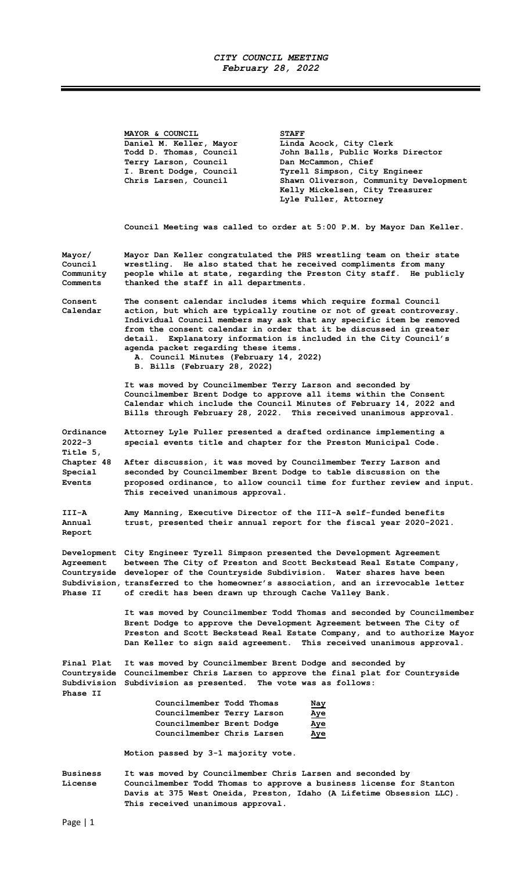## CITY COUNCIL MEETING February 28, 2022

Ξ

|                                            | MAYOR & COUNCIL<br>Daniel M. Keller, Mayor<br>Todd D. Thomas, Council<br>Terry Larson, Council<br>I. Brent Dodge, Council<br>Chris Larsen, Council                                                                                                                                                                                                                                                                                                                               | <b>STAFF</b><br>Linda Acock, City Clerk<br>John Balls, Public Works Director<br>Dan McCammon, Chief<br>Tyrell Simpson, City Engineer<br>Shawn Oliverson, Community Development<br>Kelly Mickelsen, City Treasurer<br>Lyle Fuller, Attorney |
|--------------------------------------------|----------------------------------------------------------------------------------------------------------------------------------------------------------------------------------------------------------------------------------------------------------------------------------------------------------------------------------------------------------------------------------------------------------------------------------------------------------------------------------|--------------------------------------------------------------------------------------------------------------------------------------------------------------------------------------------------------------------------------------------|
|                                            | Council Meeting was called to order at 5:00 P.M. by Mayor Dan Keller.                                                                                                                                                                                                                                                                                                                                                                                                            |                                                                                                                                                                                                                                            |
| Mayor/<br>Council<br>Community<br>Comments | Mayor Dan Keller congratulated the PHS wrestling team on their state<br>wrestling. He also stated that he received compliments from many<br>people while at state, regarding the Preston City staff. He publicly<br>thanked the staff in all departments.                                                                                                                                                                                                                        |                                                                                                                                                                                                                                            |
| Consent<br>Calendar                        | The consent calendar includes items which require formal Council<br>action, but which are typically routine or not of great controversy.<br>Individual Council members may ask that any specific item be removed<br>from the consent calendar in order that it be discussed in greater<br>Explanatory information is included in the City Council's<br>detail.<br>agenda packet regarding these items.<br>A. Council Minutes (February 14, 2022)<br>B. Bills (February 28, 2022) |                                                                                                                                                                                                                                            |
|                                            | It was moved by Councilmember Terry Larson and seconded by<br>Councilmember Brent Dodge to approve all items within the Consent<br>Calendar which include the Council Minutes of February 14, 2022 and<br>Bills through February 28, 2022. This received unanimous approval.                                                                                                                                                                                                     |                                                                                                                                                                                                                                            |
| Ordinance<br>$2022 - 3$<br>Title 5,        | Attorney Lyle Fuller presented a drafted ordinance implementing a<br>special events title and chapter for the Preston Municipal Code.                                                                                                                                                                                                                                                                                                                                            |                                                                                                                                                                                                                                            |
| Chapter 48<br>Special<br><b>Events</b>     | After discussion, it was moved by Councilmember Terry Larson and<br>seconded by Councilmember Brent Dodge to table discussion on the<br>proposed ordinance, to allow council time for further review and input.<br>This received unanimous approval.                                                                                                                                                                                                                             |                                                                                                                                                                                                                                            |
| III-A<br>Annual<br>Report                  | Amy Manning, Executive Director of the III-A self-funded benefits<br>trust, presented their annual report for the fiscal year 2020-2021.                                                                                                                                                                                                                                                                                                                                         |                                                                                                                                                                                                                                            |
| Agreement<br>Phase II                      | Development City Engineer Tyrell Simpson presented the Development Agreement<br>between The City of Preston and Scott Beckstead Real Estate Company,<br>Countryside developer of the Countryside Subdivision. Water shares have been<br>Subdivision, transferred to the homeowner's association, and an irrevocable letter<br>of credit has been drawn up through Cache Valley Bank.                                                                                             |                                                                                                                                                                                                                                            |
|                                            | It was moved by Councilmember Todd Thomas and seconded by Councilmember<br>Brent Dodge to approve the Development Agreement between The City of<br>Preston and Scott Beckstead Real Estate Company, and to authorize Mayor<br>Dan Keller to sign said agreement. This received unanimous approval.                                                                                                                                                                               |                                                                                                                                                                                                                                            |
| Final Plat<br>Phase II                     | It was moved by Councilmember Brent Dodge and seconded by<br>Subdivision Subdivision as presented. The vote was as follows:                                                                                                                                                                                                                                                                                                                                                      | Countryside Councilmember Chris Larsen to approve the final plat for Countryside                                                                                                                                                           |
|                                            | Councilmember Todd Thomas<br>Councilmember Terry Larson<br>Councilmember Brent Dodge<br>Councilmember Chris Larsen                                                                                                                                                                                                                                                                                                                                                               | Nay<br>Aye<br>Aye<br>Aye                                                                                                                                                                                                                   |
|                                            | Motion passed by 3-1 majority vote.                                                                                                                                                                                                                                                                                                                                                                                                                                              |                                                                                                                                                                                                                                            |
| <b>Business</b><br>License                 | It was moved by Councilmember Chris Larsen and seconded by<br>This received unanimous approval.                                                                                                                                                                                                                                                                                                                                                                                  | Councilmember Todd Thomas to approve a business license for Stanton<br>Davis at 375 West Oneida, Preston, Idaho (A Lifetime Obsession LLC).                                                                                                |